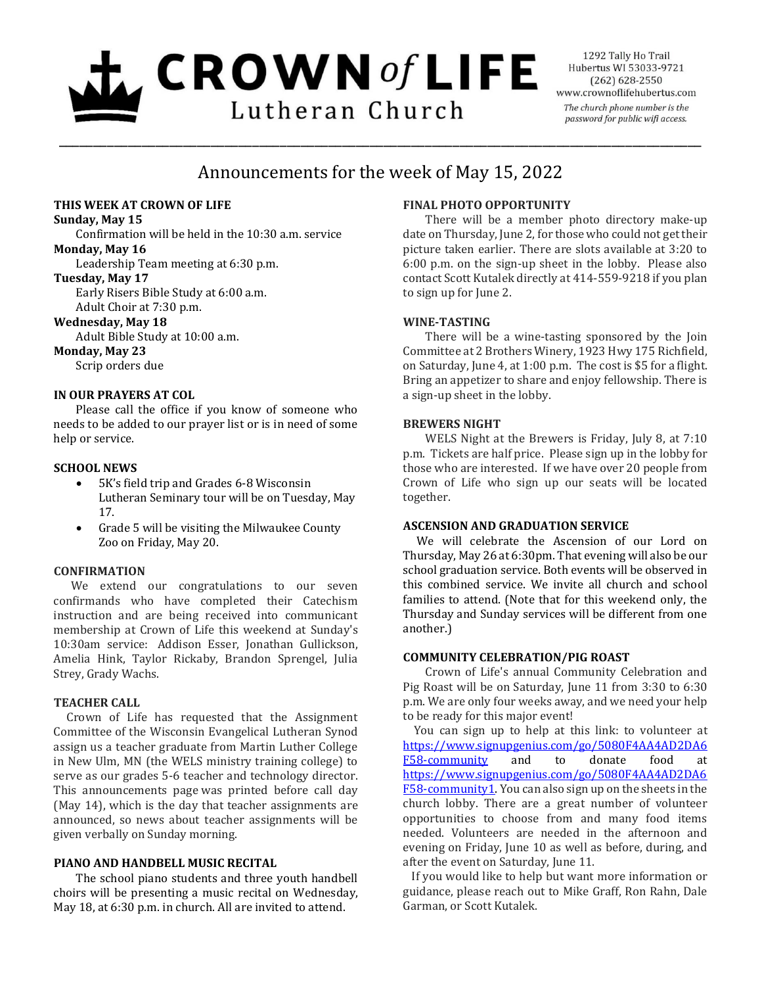# $L$  CROWN of LIFE Lutheran Church

1292 Tally Ho Trail Hubertus WI 53033-9721  $(262)$  628-2550 www.crownoflifehubertus.com The church phone number is the password for public wifi access.

# Announcements for the week of May 15, 2022

\_\_\_\_\_\_\_\_\_\_\_\_\_\_\_\_\_\_\_\_\_\_\_\_\_\_\_\_\_\_\_\_\_\_\_\_\_\_\_\_\_\_\_\_\_\_\_\_\_\_\_\_\_\_\_\_\_\_\_\_\_\_\_\_\_\_\_\_\_\_\_\_\_\_\_\_\_\_\_\_\_\_\_\_\_\_\_\_\_\_\_\_\_

# **THIS WEEK AT CROWN OF LIFE**

#### **Sunday, May 15**

Confirmation will be held in the 10:30 a.m. service

# **Monday, May 16**

Leadership Team meeting at 6:30 p.m.

#### **Tuesday, May 17**

Early Risers Bible Study at 6:00 a.m.

Adult Choir at 7:30 p.m.

### **Wednesday, May 18**

Adult Bible Study at 10:00 a.m.

### **Monday, May 23**

Scrip orders due

# **IN OUR PRAYERS AT COL**

Please call the office if you know of someone who needs to be added to our prayer list or is in need of some help or service.

# **SCHOOL NEWS**

- 5K's field trip and Grades 6-8 Wisconsin Lutheran Seminary tour will be on Tuesday, May 17.
- Grade 5 will be visiting the Milwaukee County Zoo on Friday, May 20.

# **CONFIRMATION**

We extend our congratulations to our seven confirmands who have completed their Catechism instruction and are being received into communicant membership at Crown of Life this weekend at Sunday's 10:30am service: Addison Esser, Jonathan Gullickson, Amelia Hink, Taylor Rickaby, Brandon Sprengel, Julia Strey, Grady Wachs.

# **TEACHER CALL**

Crown of Life has requested that the Assignment Committee of the Wisconsin Evangelical Lutheran Synod assign us a teacher graduate from Martin Luther College in New Ulm, MN (the WELS ministry training college) to serve as our grades 5-6 teacher and technology director. This announcements page was printed before call day (May 14), which is the day that teacher assignments are announced, so news about teacher assignments will be given verbally on Sunday morning.

# **PIANO AND HANDBELL MUSIC RECITAL**

The school piano students and three youth handbell choirs will be presenting a music recital on Wednesday, May 18, at 6:30 p.m. in church. All are invited to attend.

# **FINAL PHOTO OPPORTUNITY**

 There will be a member photo directory make-up date on Thursday, June 2, for those who could not get their picture taken earlier. There are slots available at 3:20 to 6:00 p.m. on the sign-up sheet in the lobby. Please also contact Scott Kutalek directly at 414-559-9218 if you plan to sign up for June 2.

# **WINE-TASTING**

There will be a wine-tasting sponsored by the Join Committee at 2 Brothers Winery, 1923 Hwy 175 Richfield, on Saturday, June 4, at 1:00 p.m. The cost is \$5 for a flight. Bring an appetizer to share and enjoy fellowship. There is a sign-up sheet in the lobby.

# **BREWERS NIGHT**

WELS Night at the Brewers is Friday, July 8, at 7:10 p.m. Tickets are half price. Please sign up in the lobby for those who are interested. If we have over 20 people from Crown of Life who sign up our seats will be located together.

#### **ASCENSION AND GRADUATION SERVICE**

We will celebrate the Ascension of our Lord on Thursday, May 26 at 6:30pm. That evening will also be our school graduation service. Both events will be observed in this combined service. We invite all church and school families to attend. (Note that for this weekend only, the Thursday and Sunday services will be different from one another.)

# **COMMUNITY CELEBRATION/PIG ROAST**

Crown of Life's annual Community Celebration and Pig Roast will be on Saturday, June 11 from 3:30 to 6:30 p.m. We are only four weeks away, and we need your help to be ready for this major event!

You can sign up to help at this link: to volunteer at [https://www.signupgenius.com/go/5080F4AA4AD2DA6](https://www.signupgenius.com/go/5080F4AA4AD2DA6F58-community) [F58-community](https://www.signupgenius.com/go/5080F4AA4AD2DA6F58-community) and to donate food at [https://www.signupgenius.com/go/5080F4AA4AD2DA6](https://www.signupgenius.com/go/5080F4AA4AD2DA6F58-community1) [F58-community1.](https://www.signupgenius.com/go/5080F4AA4AD2DA6F58-community1) You can also sign up on the sheets in the church lobby. There are a great number of volunteer opportunities to choose from and many food items needed. Volunteers are needed in the afternoon and evening on Friday, June 10 as well as before, during, and after the event on Saturday, June 11.

If you would like to help but want more information or guidance, please reach out to Mike Graff, Ron Rahn, Dale Garman, or Scott Kutalek.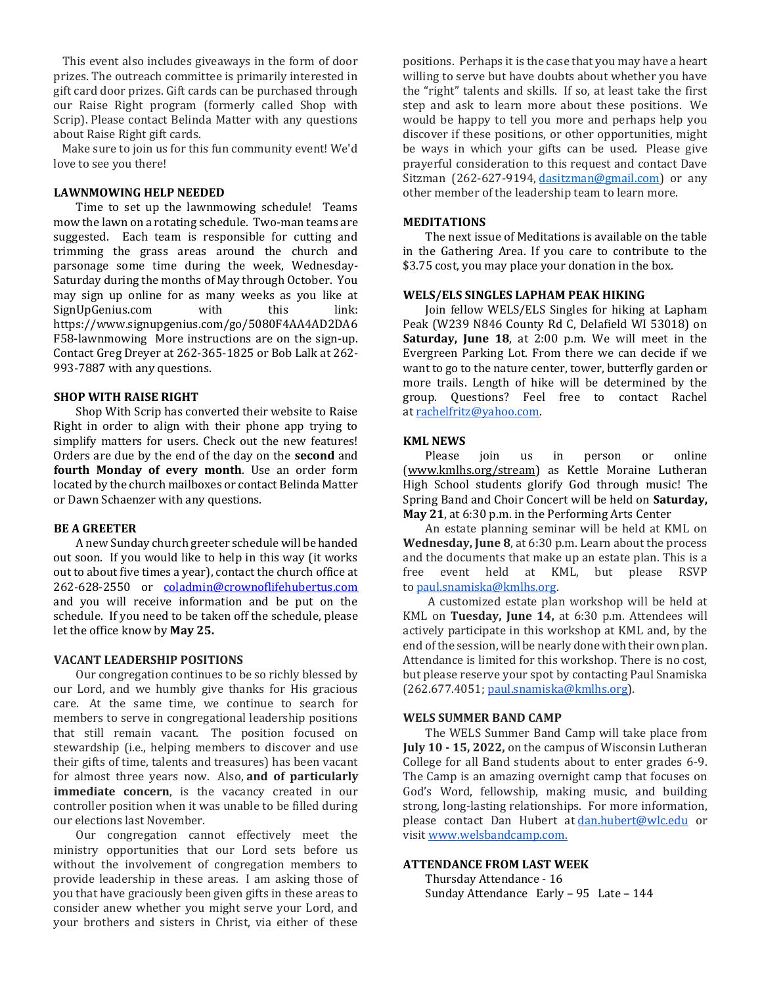This event also includes giveaways in the form of door prizes. The outreach committee is primarily interested in gift card door prizes. Gift cards can be purchased through our Raise Right program (formerly called Shop with Scrip). Please contact Belinda Matter with any questions about Raise Right gift cards.

Make sure to join us for this fun community event! We'd love to see you there!

#### **LAWNMOWING HELP NEEDED**

Time to set up the lawnmowing schedule! Teams mow the lawn on a rotating schedule. Two-man teams are suggested. Each team is responsible for cutting and trimming the grass areas around the church and parsonage some time during the week, Wednesday-Saturday during the months of May through October. You may sign up online for as many weeks as you like at SignUpGenius.com with this link: https://www.signupgenius.com/go/5080F4AA4AD2DA6 F58-lawnmowing More instructions are on the sign-up. Contact Greg Dreyer at 262-365-1825 or Bob Lalk at 262- 993-7887 with any questions.

#### **SHOP WITH RAISE RIGHT**

Shop With Scrip has converted their website to Raise Right in order to align with their phone app trying to simplify matters for users. Check out the new features! Orders are due by the end of the day on the **second** and **fourth Monday of every month**. Use an order form located by the church mailboxes or contact Belinda Matter or Dawn Schaenzer with any questions.

#### **BE A GREETER**

A new Sunday church greeter schedule will be handed out soon. If you would like to help in this way (it works out to about five times a year), contact the church office at 262-628-2550 or [coladmin@crownoflifehubertus.com](mailto:coladmin@crownoflifehubertus.com) and you will receive information and be put on the schedule. If you need to be taken off the schedule, please let the office know by **May 25.**

#### **VACANT LEADERSHIP POSITIONS**

Our congregation continues to be so richly blessed by our Lord, and we humbly give thanks for His gracious care. At the same time, we continue to search for members to serve in congregational leadership positions that still remain vacant. The position focused on stewardship (i.e., helping members to discover and use their gifts of time, talents and treasures) has been vacant for almost three years now. Also, **and of particularly immediate concern**, is the vacancy created in our controller position when it was unable to be filled during our elections last November.

Our congregation cannot effectively meet the ministry opportunities that our Lord sets before us without the involvement of congregation members to provide leadership in these areas. I am asking those of you that have graciously been given gifts in these areas to consider anew whether you might serve your Lord, and your brothers and sisters in Christ, via either of these positions. Perhaps it is the case that you may have a heart willing to serve but have doubts about whether you have the "right" talents and skills. If so, at least take the first step and ask to learn more about these positions. We would be happy to tell you more and perhaps help you discover if these positions, or other opportunities, might be ways in which your gifts can be used. Please give prayerful consideration to this request and contact Dave Sitzman (262-627-9194, [dasitzman@gmail.com\)](mailto:dasitzman@gmail.com) or any other member of the leadership team to learn more.

#### **MEDITATIONS**

The next issue of Meditations is available on the table in the Gathering Area. If you care to contribute to the \$3.75 cost, you may place your donation in the box.

#### **WELS/ELS SINGLES LAPHAM PEAK HIKING**

Join fellow WELS/ELS Singles for hiking at Lapham Peak (W239 N846 County Rd C, Delafield WI 53018) on **Saturday, June 18**, at 2:00 p.m. We will meet in the Evergreen Parking Lot. From there we can decide if we want to go to the nature center, tower, butterfly garden or more trails. Length of hike will be determined by the group. Questions? Feel free to contact Rachel at [rachelfritz@yahoo.com.](mailto:rachelfritz@yahoo.com)

#### **KML NEWS**

Please join us in person or online [\(www.kmlhs.org/stream\)](http://www.kmlhs.org/stream) as Kettle Moraine Lutheran High School students glorify God through music! The Spring Band and Choir Concert will be held on **Saturday, May 21**, at 6:30 p.m. in the Performing Arts Center

An estate planning seminar will be held at KML on **Wednesday, June 8**, at 6:30 p.m. Learn about the process and the documents that make up an estate plan. This is a free event held at KML, but please RSVP to [paul.snamiska@kmlhs.org.](mailto:paul.snamiska@kmlhs.org)

 A customized estate plan workshop will be held at KML on **Tuesday, June 14,** at 6:30 p.m. Attendees will actively participate in this workshop at KML and, by the end of the session, will be nearly done with their own plan. Attendance is limited for this workshop. There is no cost, but please reserve your spot by contacting Paul Snamiska (262.677.4051; [paul.snamiska@kmlhs.org\)](mailto:paul.snamiska@kmlhs.org).

#### **WELS SUMMER BAND CAMP**

The WELS Summer Band Camp will take place from **July 10 - 15, 2022,** on the campus of Wisconsin Lutheran College for all Band students about to enter grades 6-9. The Camp is an amazing overnight camp that focuses on God's Word, fellowship, making music, and building strong, long-lasting relationships. For more information, please contact Dan Hubert at [dan.hubert@wlc.edu](mailto:dan.hubert@wlc.edu) or visit [www.welsbandcamp.com.](http://www.welsbandcamp.com/)

#### **ATTENDANCE FROM LAST WEEK**

Thursday Attendance - 16 Sunday Attendance Early – 95 Late – 144